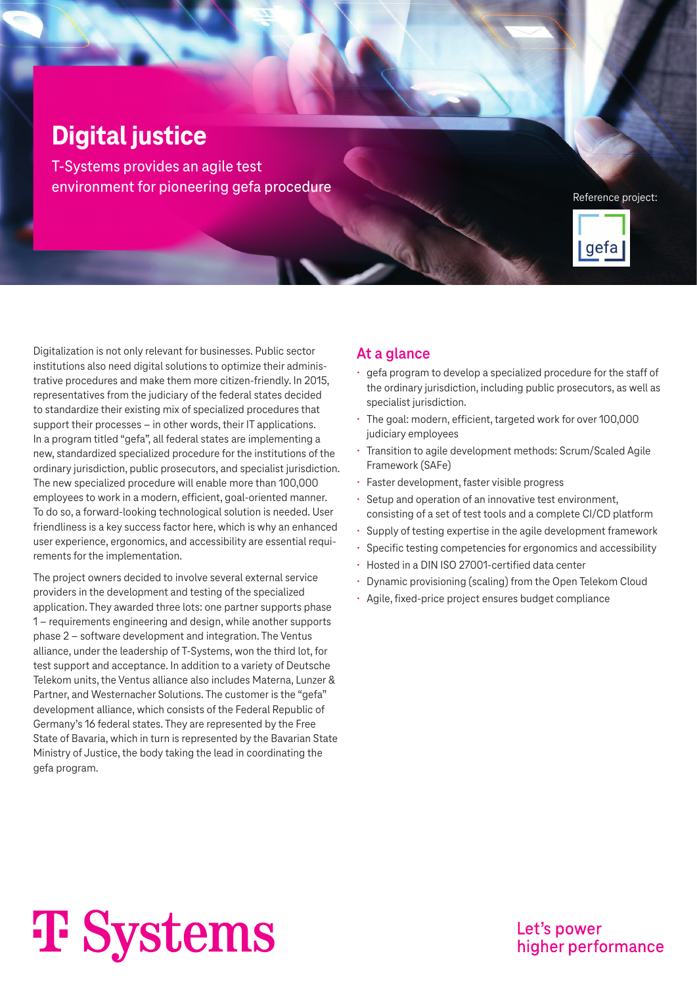### **Digital justice**

T-Systems provides an agile test environment for pioneering gefa procedure

Reference project:



Digitalization is not only relevant for businesses. Public sector institutions also need digital solutions to optimize their administrative procedures and make them more citizen-friendly. In 2015, representatives from the judiciary of the federal states decided to standardize their existing mix of specialized procedures that support their processes – in other words, their IT applications. In a program titled "gefa", all federal states are implementing a new, standardized specialized procedure for the institutions of the ordinary jurisdiction, public prosecutors, and specialist jurisdiction. The new specialized procedure will enable more than 100,000 employees to work in a modern, efficient, goal-oriented manner. To do so, a forward-looking technological solution is needed. User friendliness is a key success factor here, which is why an enhanced user experience, ergonomics, and accessibility are essential requirements for the implementation.

The project owners decided to involve several external service providers in the development and testing of the specialized application. They awarded three lots: one partner supports phase 1 – requirements engineering and design, while another supports phase 2 – software development and integration. The Ventus alliance, under the leadership of T-Systems, won the third lot, for test support and acceptance. In addition to a variety of Deutsche Telekom units, the Ventus alliance also includes Materna, Lunzer & Partner, and Westernacher Solutions. The customer is the "gefa" development alliance, which consists of the Federal Republic of Germany's 16 federal states. They are represented by the Free State of Bavaria, which in turn is represented by the Bavarian State Ministry of Justice, the body taking the lead in coordinating the gefa program.

#### **At a glance**

- gefa program to develop a specialized procedure for the staff of the ordinary jurisdiction, including public prosecutors, as well as specialist jurisdiction.
- The goal: modern, efficient, targeted work for over 100,000 judiciary employees
- Transition to agile development methods: Scrum/Scaled Agile Framework (SAFe)
- Faster development, faster visible progress
- Setup and operation of an innovative test environment, consisting of a set of test tools and a complete CI/CD platform
- Supply of testing expertise in the agile development framework
- Specific testing competencies for ergonomics and accessibility
- Hosted in a DIN ISO 27001-certified data center
- Dynamic provisioning (scaling) from the Open Telekom Cloud
- Agile, fixed-price project ensures budget compliance

# **T** Systems

Let's power higher performance